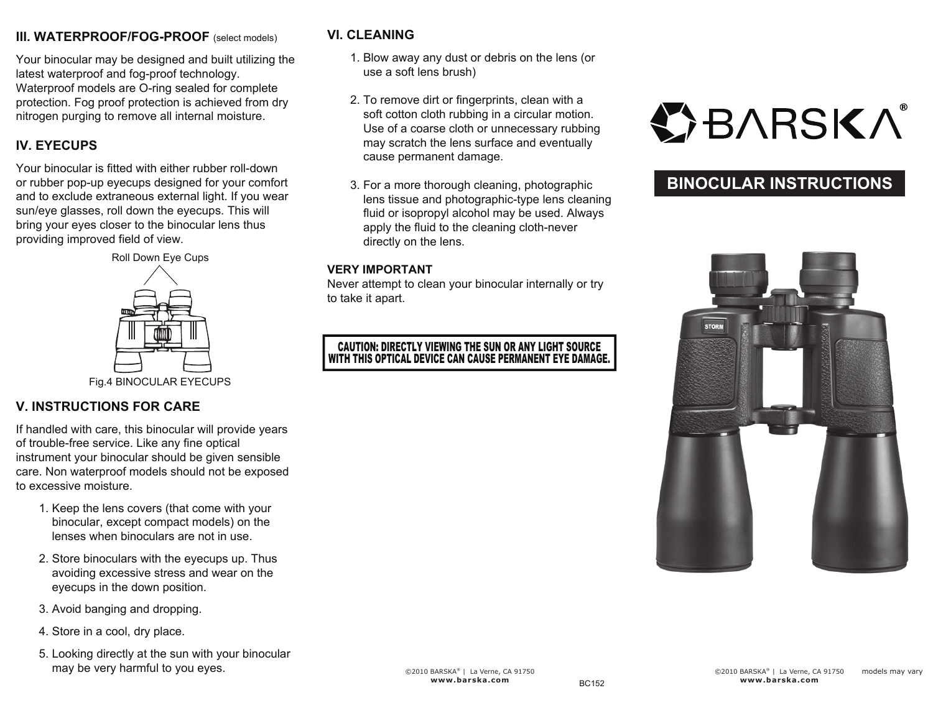## **III. WATERPROOF/FOG-PROOF** (select models)

Your binocular may be designed and built utilizing the latest waterproof and fog-proof technology. Waterproof models are O-ring sealed for complete protection. Fog proof protection is achieved from dry nitrogen purging to remove all internal moisture.

## **IV. EYECUPS**

Your binocular is fitted with either rubber roll-down or rubber pop-up eyecups designed for your comfort and to exclude extraneous external light. If you wear sun/eye glasses, roll down the eyecups. This will bring your eyes closer to the binocular lens thus providing improved field of view.



#### Fig.4 BINOCULAR EYECUPS

## **V. INSTRUCTIONS FOR CARE**

If handled with care, this binocular will provide years of trouble-free service. Like any fine optical instrument your binocular should be given sensible care. Non waterproof models should not be exposed to excessive moisture.

- 1. Keep the lens covers (that come with your binocular, except compact models) on the lenses when binoculars are not in use.
- 2. Store binoculars with the eyecups up. Thus avoiding excessive stress and wear on the eyecups in the down position.
- 3. Avoid banging and dropping.
- 4. Store in a cool, dry place.
- 5. Looking directly at the sun with your binocular may be very harmful to you eyes.

## **VI. CLEANING**

- 1. Blow away any dust or debris on the lens (or use a soft lens brush)
- 2. To remove dirt or fingerprints, clean with a soft cotton cloth rubbing in a circular motion. Use of a coarse cloth or unnecessary rubbing may scratch the lens surface and eventually cause permanent damage.
- 3. For a more thorough cleaning, photographic lens tissue and photographic-type lens cleaning fluid or isopropyl alcohol may be used. Always apply the fluid to the cleaning cloth-never directly on the lens.

#### **VERY IMPORTANT**

Never attempt to clean your binocular internally or try to take it apart.

#### CAUTION: DIRECTLY VIEWING THE SUN OR ANY LIGHT SOURCE WITH THIS OPTICAL DEVICE CAN CAUSE PERMANENT EYE DAMAGE.

# **OBARSKA**

# **BINOCULAR INSTRUCTIONS**